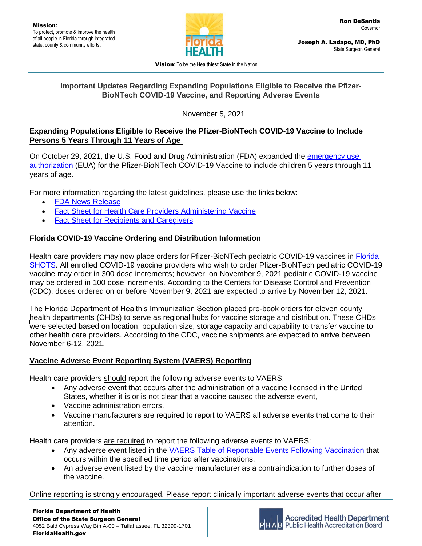

Vision**:** To be the **Healthiest State** in the Nation

#### **Important Updates Regarding Expanding Populations Eligible to Receive the Pfizer-BioNTech COVID-19 Vaccine, and Reporting Adverse Events**

November 5, 2021

### **Expanding Populations Eligible to Receive the Pfizer-BioNTech COVID-19 Vaccine to Include Persons 5 Years Through 11 Years of Age**

On October 29, 2021, the U.S. Food and Drug Administration (FDA) expanded the [emergency use](https://www.fda.gov/media/150386/download)  [authorization](https://www.fda.gov/media/150386/download) (EUA) for the Pfizer-BioNTech COVID-19 Vaccine to include children 5 years through 11 years of age.

For more information regarding the latest guidelines, please use the links below:

- [FDA News Release](https://www.fda.gov/news-events/press-announcements/fda-authorizes-pfizer-biontech-covid-19-vaccine-emergency-use-children-5-through-11-years-age)
- Fact Sheet for Health [Care Providers Administering Vaccine](https://www.fda.gov/media/144413/download)
- [Fact Sheet for Recipients and Caregivers](https://www.fda.gov/media/153717/download)

# **Florida COVID-19 Vaccine Ordering and Distribution Information**

Health care providers may now place orders for Pfizer-BioNTech pediatric COVID-19 vaccines in [Florida](https://www.flshotsusers.com/)  [SHOTS.](https://www.flshotsusers.com/) All enrolled COVID-19 vaccine providers who wish to order Pfizer-BioNTech pediatric COVID-19 vaccine may order in 300 dose increments; however, on November 9, 2021 pediatric COVID-19 vaccine may be ordered in 100 dose increments. According to the Centers for Disease Control and Prevention (CDC), doses ordered on or before November 9, 2021 are expected to arrive by November 12, 2021.

reann departments (Cribs) to serve as regional mubs for vaccine storage and distribution. These Cribs<br>were selected based on location, population size, storage capacity and capability to transfer vaccine to The Florida Department of Health's Immunization Section placed pre-book orders for eleven county health departments (CHDs) to serve as regional hubs for vaccine storage and distribution. These CHDs other health care providers. According to the CDC, vaccine shipments are expected to arrive between November 6-12, 2021.

# **Vaccine Adverse Event Reporting System (VAERS) Reporting**

Health care providers should report the following adverse events to VAERS:

- Any adverse event that occurs after the administration of a vaccine licensed in the United States, whether it is or is not clear that a vaccine caused the adverse event,
- Vaccine administration errors,
- Vaccine manufacturers are required to report to VAERS all adverse events that come to their attention.

Health care providers are required to report the following adverse events to VAERS:

- Any adverse event listed in the [VAERS Table of Reportable Events Following Vaccination](https://vaers.hhs.gov/docs/VAERS_Table_of_Reportable_Events_Following_Vaccination.pdf) that occurs within the specified time period after vaccinations,
- An adverse event listed by the vaccine manufacturer as a contraindication to further doses of the vaccine.

Online reporting is strongly encouraged. Please report clinically important adverse events that occur after